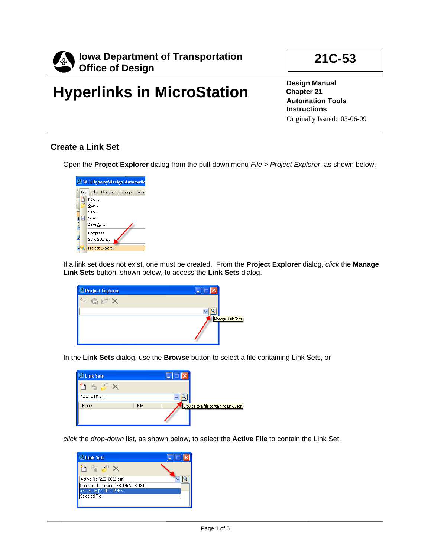

# **Hyperlinks in MicroStation**

**21C-53** 

**Design Manual Chapter 21 Automation Tools Instructions**  Originally Issued: 03-06-09

### **Create a Link Set**

Open the **Project Explorer** dialog from the pull-down menu *File > Project Explorer*, as shown below.



If a link set does not exist, one must be created. From the **Project Explorer** dialog, *click* the **Manage Link Sets** button, shown below, to access the **Link Sets** dialog.

| <sup>2</sup> Project Explorer   |                  |
|---------------------------------|------------------|
| $\mathbb{R}$ $\mathbb{C}$<br>Ÿw |                  |
|                                 |                  |
|                                 | Manage Link Sets |
|                                 |                  |
|                                 |                  |

In the **Link Sets** dialog, use the **Browse** button to select a file containing Link Sets, or

| <b>El Link Sets</b> |      |                                       |
|---------------------|------|---------------------------------------|
| $A \rightarrow B$   |      |                                       |
| Selected File ()    |      |                                       |
| Name                | File | Browse to a file containing Link Sets |
|                     |      |                                       |

*click* the *drop-down* list, as shown below, to select the **Active File** to contain the Link Set.

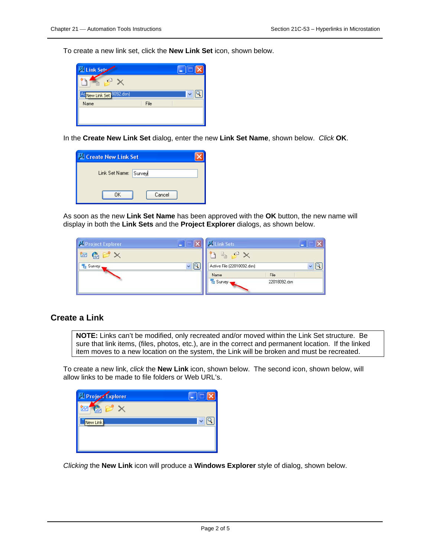To create a new link set, click the **New Link Set** icon, shown below.

| <b>El Link Sets</b>                               |      |  |
|---------------------------------------------------|------|--|
| ¥Ð                                                |      |  |
| <sup>Ac</sup> <mark>New Link Set</mark> 8092.dsn) |      |  |
| Name                                              | File |  |
|                                                   |      |  |
|                                                   |      |  |

In the **Create New Link Set** dialog, enter the new **Link Set Name**, shown below. *Click* **OK**.

| <b>Create New Link Set</b> |  |
|----------------------------|--|
| Link Set Name: Survey      |  |
| Cancel<br>ΠK               |  |

As soon as the new **Link Set Name** has been approved with the **OK** button, the new name will display in both the **Link Sets** and the **Project Explorer** dialogs, as shown below.

| $\sim$<br>Deroject Explorer<br>Ξ                   | <b>ES Link Sets</b><br>с         |
|----------------------------------------------------|----------------------------------|
| $\bigcirc$ $\mathbb{C}$ $\times$<br>$ \mathbf{r} $ | $x \Box$<br>TB.                  |
| <b>L</b> Survey                                    | Active File (22018092.dsn)       |
|                                                    | File<br>Name                     |
|                                                    | <b>Le Survey</b><br>22018092.dsn |

#### **Create a Link**

**NOTE:** Links can't be modified, only recreated and/or moved within the Link Set structure. Be sure that link items, (files, photos, etc.), are in the correct and permanent location. If the linked item moves to a new location on the system, the Link will be broken and must be recreated.

To create a new link, *click* the **New Link** icon, shown below. The second icon, shown below, will allow links to be made to file folders or Web URL's.

| <sup>1</sup> Project Explorer |  |
|-------------------------------|--|
| $\bar{\sim}$<br>īŪ            |  |
| New Link                      |  |
|                               |  |
|                               |  |

*Clicking* the **New Link** icon will produce a **Windows Explorer** style of dialog, shown below.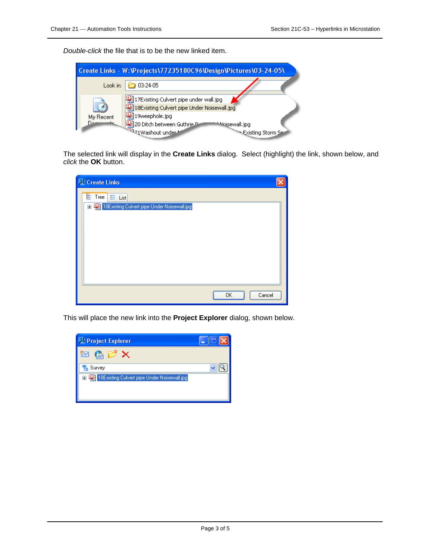*Double-click* the file that is to be the new linked item.

|                  | Create Links - W: \Projects\77235180C96\Design\Pictures\03-24-05\                          |                    |
|------------------|--------------------------------------------------------------------------------------------|--------------------|
| Look in:         | $\geq 03.24.05$                                                                            |                    |
|                  | 17Existing Culvert pipe under wall.jpg<br>18Existing Culvert pipe Under Noisewall.jpg [طفأ |                    |
| My Recent<br>سمר | 19weephole.jpg<br>20 Ditch between Guthrie P<br><b>Antol</b> isewall.jpg                   |                    |
|                  | <b>MARKET 20 DRUG LINES</b>                                                                | Existing Storm Sey |

The selected link will display in the **Create Links** dialog. Select (highlight) the link, shown below, and *click* the **OK** button.

| Create Links                                 |                     |
|----------------------------------------------|---------------------|
| $E$ Tree $E$ List                            |                     |
| 18E xisting Culvert pipe Under Noisewall.jpg |                     |
|                                              |                     |
|                                              |                     |
|                                              |                     |
|                                              |                     |
|                                              |                     |
|                                              |                     |
|                                              | Cancel<br><b>OK</b> |

This will place the new link into the **Project Explorer** dialog, shown below.

| Project Explorer                                              |  |
|---------------------------------------------------------------|--|
| rν<br>$\frac{1}{ R }$                                         |  |
| <b>程</b> Survey                                               |  |
| 18Existing Culvert pipe Under Noisewall.jpg<br>$\blacksquare$ |  |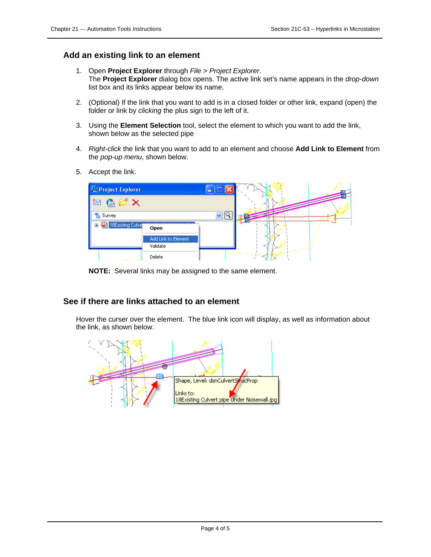#### **Add an existing link to an element**

- 1. Open **Project Explorer** through *File > Project Explorer*. The **Project Explorer** dialog box opens. The active link set's name appears in the *drop-down* list box and its links appear below its name.
- 2. (Optional) If the link that you want to add is in a closed folder or other link, expand (open) the folder or link by *clicking* the plus sign to the left of it.
- 3. Using the **Element Selection** tool, select the element to which you want to add the link, shown below as the selected pipe
- 4. *Right-click* the link that you want to add to an element and choose **Add Link to Element** from the *pop-up menu*, shown below.
- 5. Accept the link.



**NOTE:** Several links may be assigned to the same element.

#### **See if there are links attached to an element**

Hover the curser over the element. The blue link icon will display, as well as information about the link, as shown below.